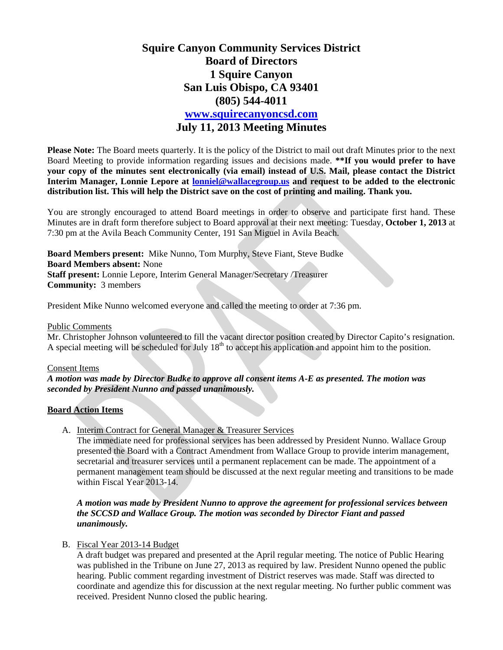# **Squire Canyon Community Services District Board of Directors 1 Squire Canyon San Luis Obispo, CA 93401 (805) 544-4011 www.squirecanyoncsd.com July 11, 2013 Meeting Minutes**

**Please Note:** The Board meets quarterly. It is the policy of the District to mail out draft Minutes prior to the next Board Meeting to provide information regarding issues and decisions made. **\*\*If you would prefer to have your copy of the minutes sent electronically (via email) instead of U.S. Mail, please contact the District Interim Manager, Lonnie Lepore at lonniel@wallacegroup.us and request to be added to the electronic distribution list. This will help the District save on the cost of printing and mailing. Thank you.** 

You are strongly encouraged to attend Board meetings in order to observe and participate first hand. These Minutes are in draft form therefore subject to Board approval at their next meeting: Tuesday, **October 1, 2013** at 7:30 pm at the Avila Beach Community Center, 191 San Miguel in Avila Beach.

**Board Members present:** Mike Nunno, Tom Murphy, Steve Fiant, Steve Budke **Board Members absent:** None **Staff present:** Lonnie Lepore, Interim General Manager/Secretary /Treasurer **Community:** 3 members

President Mike Nunno welcomed everyone and called the meeting to order at 7:36 pm.

## Public Comments

Mr. Christopher Johnson volunteered to fill the vacant director position created by Director Capito's resignation. A special meeting will be scheduled for July  $18<sup>th</sup>$  to accept his application and appoint him to the position.

### Consent Items

*A motion was made by Director Budke to approve all consent items A-E as presented. The motion was seconded by President Nunno and passed unanimously.* 

# **Board Action Items**

A. Interim Contract for General Manager & Treasurer Services

The immediate need for professional services has been addressed by President Nunno. Wallace Group presented the Board with a Contract Amendment from Wallace Group to provide interim management, secretarial and treasurer services until a permanent replacement can be made. The appointment of a permanent management team should be discussed at the next regular meeting and transitions to be made within Fiscal Year 2013-14.

*A motion was made by President Nunno to approve the agreement for professional services between the SCCSD and Wallace Group. The motion was seconded by Director Fiant and passed unanimously.* 

### B. Fiscal Year 2013-14 Budget

A draft budget was prepared and presented at the April regular meeting. The notice of Public Hearing was published in the Tribune on June 27, 2013 as required by law. President Nunno opened the public hearing. Public comment regarding investment of District reserves was made. Staff was directed to coordinate and agendize this for discussion at the next regular meeting. No further public comment was received. President Nunno closed the public hearing.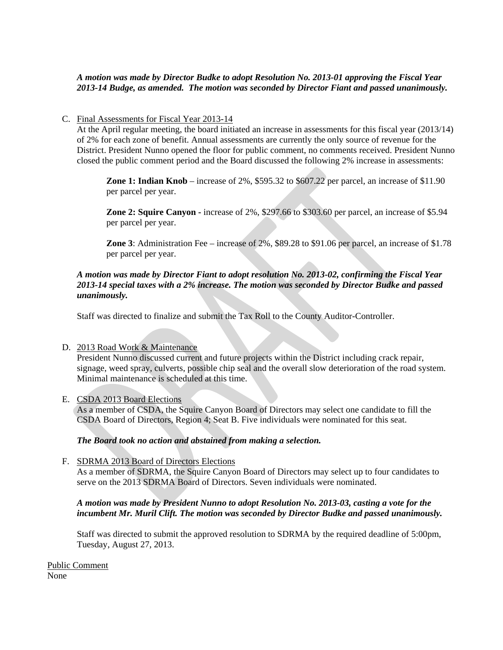# *A motion was made by Director Budke to adopt Resolution No. 2013-01 approving the Fiscal Year 2013-14 Budge, as amended. The motion was seconded by Director Fiant and passed unanimously.*

# C. Final Assessments for Fiscal Year 2013-14

At the April regular meeting, the board initiated an increase in assessments for this fiscal year (2013/14) of 2% for each zone of benefit. Annual assessments are currently the only source of revenue for the District. President Nunno opened the floor for public comment, no comments received. President Nunno closed the public comment period and the Board discussed the following 2% increase in assessments:

**Zone 1: Indian Knob** – increase of 2%, \$595.32 to \$607.22 per parcel, an increase of \$11.90 per parcel per year.

**Zone 2: Squire Canyon -** increase of 2%, \$297.66 to \$303.60 per parcel, an increase of \$5.94 per parcel per year.

**Zone 3**: Administration Fee – increase of 2%, \$89.28 to \$91.06 per parcel, an increase of \$1.78 per parcel per year.

# *A motion was made by Director Fiant to adopt resolution No. 2013-02, confirming the Fiscal Year 2013-14 special taxes with a 2% increase. The motion was seconded by Director Budke and passed unanimously.*

Staff was directed to finalize and submit the Tax Roll to the County Auditor-Controller.

## D. 2013 Road Work & Maintenance

President Nunno discussed current and future projects within the District including crack repair, signage, weed spray, culverts, possible chip seal and the overall slow deterioration of the road system. Minimal maintenance is scheduled at this time.

### E. CSDA 2013 Board Elections

As a member of CSDA, the Squire Canyon Board of Directors may select one candidate to fill the CSDA Board of Directors, Region 4; Seat B. Five individuals were nominated for this seat.

### *The Board took no action and abstained from making a selection.*

### F. SDRMA 2013 Board of Directors Elections

As a member of SDRMA, the Squire Canyon Board of Directors may select up to four candidates to serve on the 2013 SDRMA Board of Directors. Seven individuals were nominated.

## *A motion was made by President Nunno to adopt Resolution No. 2013-03, casting a vote for the incumbent Mr. Muril Clift. The motion was seconded by Director Budke and passed unanimously.*

Staff was directed to submit the approved resolution to SDRMA by the required deadline of 5:00pm, Tuesday, August 27, 2013.

Public Comment

None